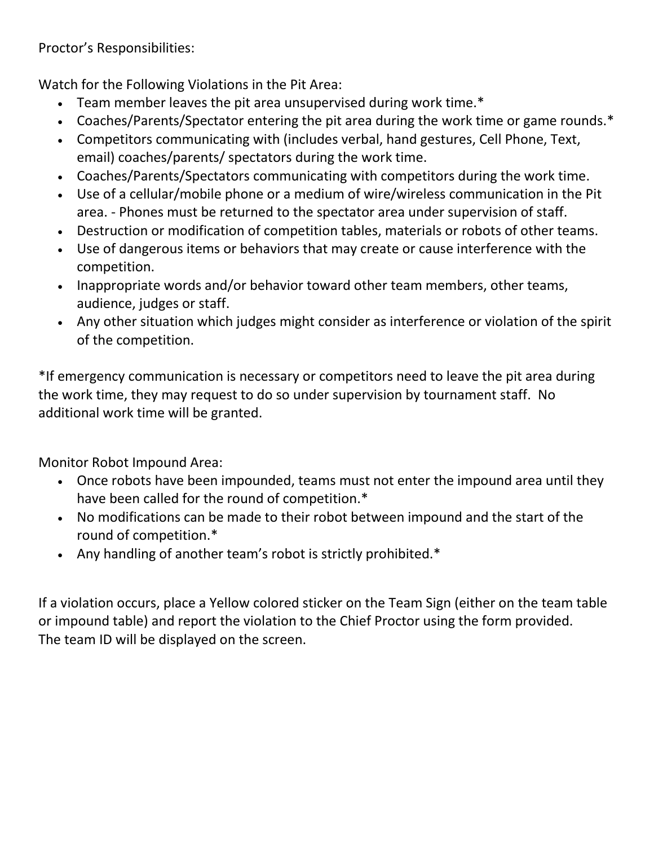Proctor's Responsibilities:

Watch for the Following Violations in the Pit Area:

- Team member leaves the pit area unsupervised during work time.\*
- Coaches/Parents/Spectator entering the pit area during the work time or game rounds.\*
- Competitors communicating with (includes verbal, hand gestures, Cell Phone, Text, email) coaches/parents/ spectators during the work time.
- Coaches/Parents/Spectators communicating with competitors during the work time.
- Use of a cellular/mobile phone or a medium of wire/wireless communication in the Pit area. - Phones must be returned to the spectator area under supervision of staff.
- Destruction or modification of competition tables, materials or robots of other teams.
- Use of dangerous items or behaviors that may create or cause interference with the competition.
- Inappropriate words and/or behavior toward other team members, other teams, audience, judges or staff.
- Any other situation which judges might consider as interference or violation of the spirit of the competition.

\*If emergency communication is necessary or competitors need to leave the pit area during the work time, they may request to do so under supervision by tournament staff. No additional work time will be granted.

Monitor Robot Impound Area:

- Once robots have been impounded, teams must not enter the impound area until they have been called for the round of competition.\*
- No modifications can be made to their robot between impound and the start of the round of competition.\*
- Any handling of another team's robot is strictly prohibited.\*

If a violation occurs, place a Yellow colored sticker on the Team Sign (either on the team table or impound table) and report the violation to the Chief Proctor using the form provided. The team ID will be displayed on the screen.